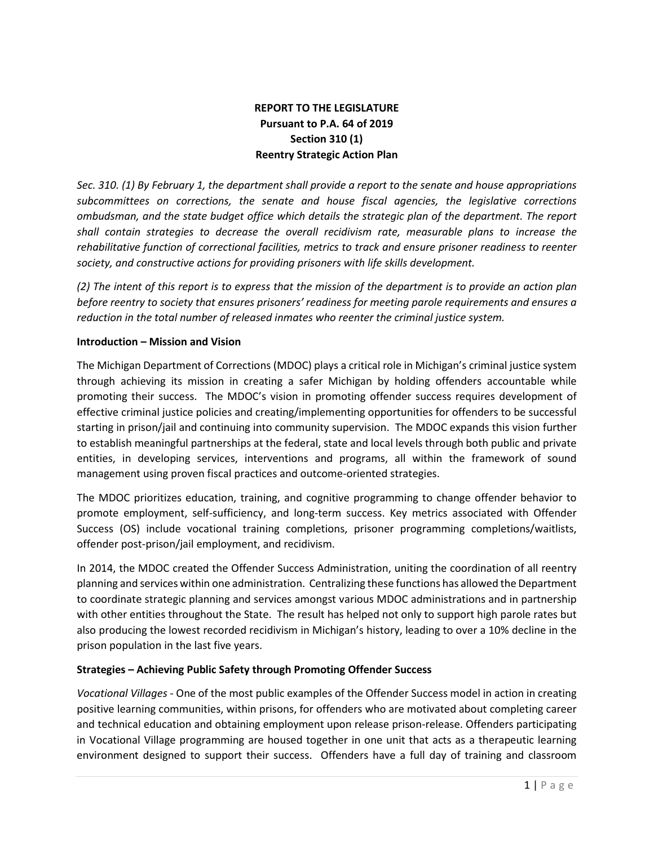## **REPORT TO THE LEGISLATURE Pursuant to P.A. 64 of 2019 Section 310 (1) Reentry Strategic Action Plan**

*Sec. 310. (1) By February 1, the department shall provide a report to the senate and house appropriations subcommittees on corrections, the senate and house fiscal agencies, the legislative corrections ombudsman, and the state budget office which details the strategic plan of the department. The report shall contain strategies to decrease the overall recidivism rate, measurable plans to increase the rehabilitative function of correctional facilities, metrics to track and ensure prisoner readiness to reenter society, and constructive actions for providing prisoners with life skills development.* 

*(2) The intent of this report is to express that the mission of the department is to provide an action plan before reentry to society that ensures prisoners' readiness for meeting parole requirements and ensures a reduction in the total number of released inmates who reenter the criminal justice system.* 

## **Introduction – Mission and Vision**

The Michigan Department of Corrections (MDOC) plays a critical role in Michigan's criminal justice system through achieving its mission in creating a safer Michigan by holding offenders accountable while promoting their success. The MDOC's vision in promoting offender success requires development of effective criminal justice policies and creating/implementing opportunities for offenders to be successful starting in prison/jail and continuing into community supervision. The MDOC expands this vision further to establish meaningful partnerships at the federal, state and local levels through both public and private entities, in developing services, interventions and programs, all within the framework of sound management using proven fiscal practices and outcome-oriented strategies.

The MDOC prioritizes education, training, and cognitive programming to change offender behavior to promote employment, self-sufficiency, and long-term success. Key metrics associated with Offender Success (OS) include vocational training completions, prisoner programming completions/waitlists, offender post-prison/jail employment, and recidivism.

In 2014, the MDOC created the Offender Success Administration, uniting the coordination of all reentry planning and services within one administration. Centralizing these functions has allowed the Department to coordinate strategic planning and services amongst various MDOC administrations and in partnership with other entities throughout the State. The result has helped not only to support high parole rates but also producing the lowest recorded recidivism in Michigan's history, leading to over a 10% decline in the prison population in the last five years.

## **Strategies – Achieving Public Safety through Promoting Offender Success**

*Vocational Villages -* One of the most public examples of the Offender Success model in action in creating positive learning communities, within prisons, for offenders who are motivated about completing career and technical education and obtaining employment upon release prison-release. Offenders participating in Vocational Village programming are housed together in one unit that acts as a therapeutic learning environment designed to support their success. Offenders have a full day of training and classroom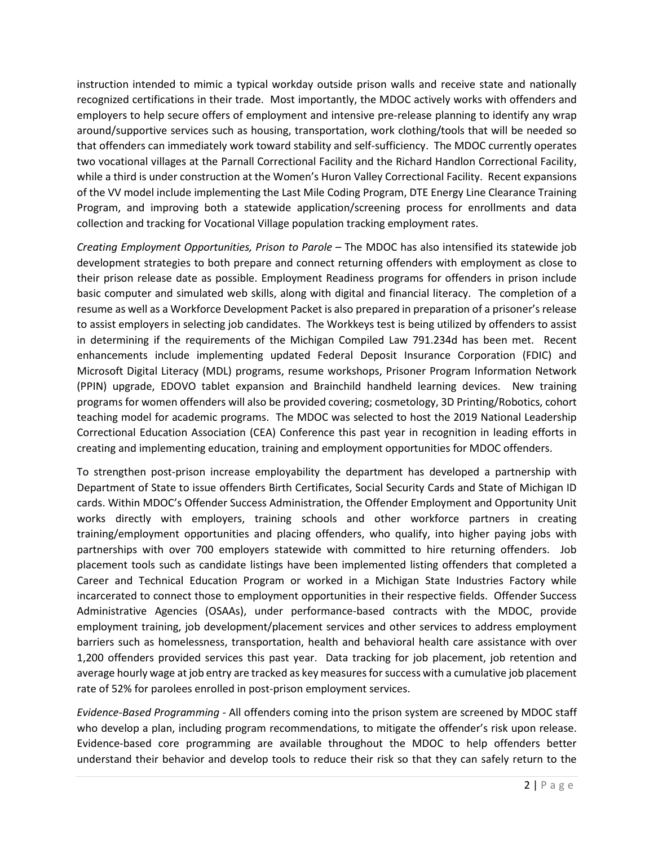instruction intended to mimic a typical workday outside prison walls and receive state and nationally recognized certifications in their trade. Most importantly, the MDOC actively works with offenders and employers to help secure offers of employment and intensive pre-release planning to identify any wrap around/supportive services such as housing, transportation, work clothing/tools that will be needed so that offenders can immediately work toward stability and self-sufficiency. The MDOC currently operates two vocational villages at the Parnall Correctional Facility and the Richard Handlon Correctional Facility, while a third is under construction at the Women's Huron Valley Correctional Facility. Recent expansions of the VV model include implementing the Last Mile Coding Program, DTE Energy Line Clearance Training Program, and improving both a statewide application/screening process for enrollments and data collection and tracking for Vocational Village population tracking employment rates.

*Creating Employment Opportunities, Prison to Parole –* The MDOC has also intensified its statewide job development strategies to both prepare and connect returning offenders with employment as close to their prison release date as possible. Employment Readiness programs for offenders in prison include basic computer and simulated web skills, along with digital and financial literacy. The completion of a resume as well as a Workforce Development Packet is also prepared in preparation of a prisoner's release to assist employers in selecting job candidates. The Workkeys test is being utilized by offenders to assist in determining if the requirements of the Michigan Compiled Law 791.234d has been met. Recent enhancements include implementing updated Federal Deposit Insurance Corporation (FDIC) and Microsoft Digital Literacy (MDL) programs, resume workshops, Prisoner Program Information Network (PPIN) upgrade, EDOVO tablet expansion and Brainchild handheld learning devices. New training programs for women offenders will also be provided covering; cosmetology, 3D Printing/Robotics, cohort teaching model for academic programs. The MDOC was selected to host the 2019 National Leadership Correctional Education Association (CEA) Conference this past year in recognition in leading efforts in creating and implementing education, training and employment opportunities for MDOC offenders.

To strengthen post-prison increase employability the department has developed a partnership with Department of State to issue offenders Birth Certificates, Social Security Cards and State of Michigan ID cards. Within MDOC's Offender Success Administration, the Offender Employment and Opportunity Unit works directly with employers, training schools and other workforce partners in creating training/employment opportunities and placing offenders, who qualify, into higher paying jobs with partnerships with over 700 employers statewide with committed to hire returning offenders. Job placement tools such as candidate listings have been implemented listing offenders that completed a Career and Technical Education Program or worked in a Michigan State Industries Factory while incarcerated to connect those to employment opportunities in their respective fields. Offender Success Administrative Agencies (OSAAs), under performance-based contracts with the MDOC, provide employment training, job development/placement services and other services to address employment barriers such as homelessness, transportation, health and behavioral health care assistance with over 1,200 offenders provided services this past year. Data tracking for job placement, job retention and average hourly wage at job entry are tracked as key measures for success with a cumulative job placement rate of 52% for parolees enrolled in post-prison employment services.

*Evidence-Based Programming -* All offenders coming into the prison system are screened by MDOC staff who develop a plan, including program recommendations, to mitigate the offender's risk upon release. Evidence-based core programming are available throughout the MDOC to help offenders better understand their behavior and develop tools to reduce their risk so that they can safely return to the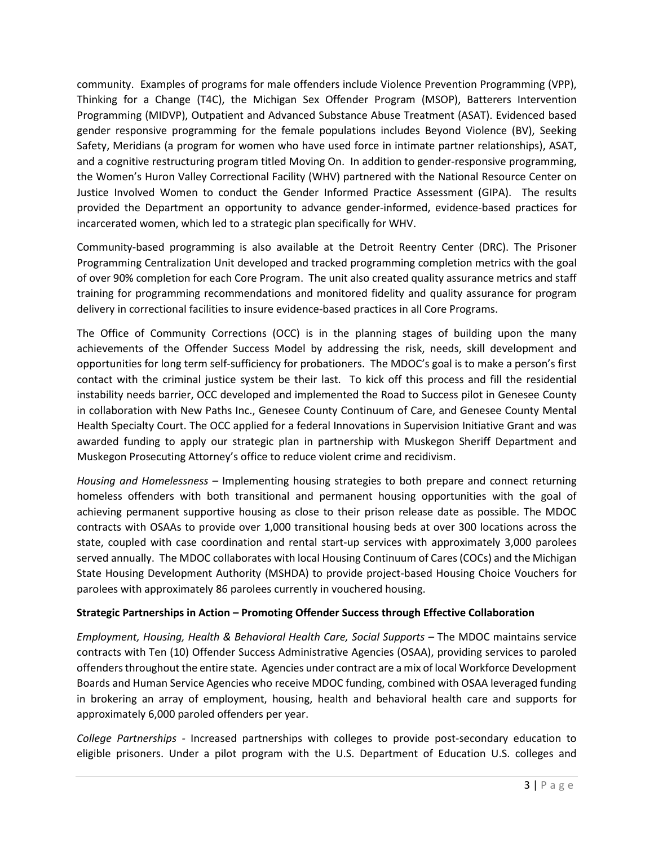community. Examples of programs for male offenders include Violence Prevention Programming (VPP), Thinking for a Change (T4C), the Michigan Sex Offender Program (MSOP), Batterers Intervention Programming (MIDVP), Outpatient and Advanced Substance Abuse Treatment (ASAT). Evidenced based gender responsive programming for the female populations includes Beyond Violence (BV), Seeking Safety, Meridians (a program for women who have used force in intimate partner relationships), ASAT, and a cognitive restructuring program titled Moving On. In addition to gender-responsive programming, the Women's Huron Valley Correctional Facility (WHV) partnered with the National Resource Center on Justice Involved Women to conduct the Gender Informed Practice Assessment (GIPA). The results provided the Department an opportunity to advance gender-informed, evidence-based practices for incarcerated women, which led to a strategic plan specifically for WHV.

Community-based programming is also available at the Detroit Reentry Center (DRC). The Prisoner Programming Centralization Unit developed and tracked programming completion metrics with the goal of over 90% completion for each Core Program. The unit also created quality assurance metrics and staff training for programming recommendations and monitored fidelity and quality assurance for program delivery in correctional facilities to insure evidence-based practices in all Core Programs.

The Office of Community Corrections (OCC) is in the planning stages of building upon the many achievements of the Offender Success Model by addressing the risk, needs, skill development and opportunities for long term self-sufficiency for probationers. The MDOC's goal is to make a person's first contact with the criminal justice system be their last. To kick off this process and fill the residential instability needs barrier, OCC developed and implemented the Road to Success pilot in Genesee County in collaboration with New Paths Inc., Genesee County Continuum of Care, and Genesee County Mental Health Specialty Court. The OCC applied for a federal Innovations in Supervision Initiative Grant and was awarded funding to apply our strategic plan in partnership with Muskegon Sheriff Department and Muskegon Prosecuting Attorney's office to reduce violent crime and recidivism.

*Housing and Homelessness –* Implementing housing strategies to both prepare and connect returning homeless offenders with both transitional and permanent housing opportunities with the goal of achieving permanent supportive housing as close to their prison release date as possible. The MDOC contracts with OSAAs to provide over 1,000 transitional housing beds at over 300 locations across the state, coupled with case coordination and rental start-up services with approximately 3,000 parolees served annually. The MDOC collaborates with local Housing Continuum of Cares (COCs) and the Michigan State Housing Development Authority (MSHDA) to provide project-based Housing Choice Vouchers for parolees with approximately 86 parolees currently in vouchered housing.

## **Strategic Partnerships in Action – Promoting Offender Success through Effective Collaboration**

*Employment, Housing, Health & Behavioral Health Care, Social Supports –* The MDOC maintains service contracts with Ten (10) Offender Success Administrative Agencies (OSAA), providing services to paroled offenders throughout the entire state. Agencies under contract are a mix of local Workforce Development Boards and Human Service Agencies who receive MDOC funding, combined with OSAA leveraged funding in brokering an array of employment, housing, health and behavioral health care and supports for approximately 6,000 paroled offenders per year.

*College Partnerships -* Increased partnerships with colleges to provide post-secondary education to eligible prisoners. Under a pilot program with the U.S. Department of Education U.S. colleges and